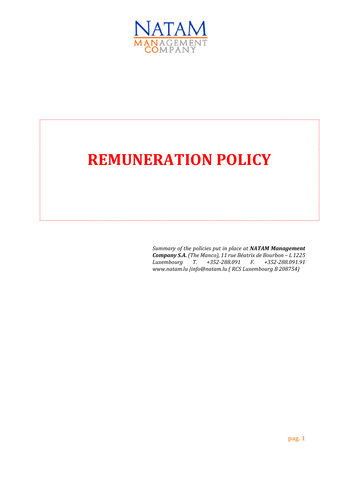

# **REMUNERATION POLICY**

*Summary of the policies put in place at NATAM Management*  **Company S.A.** (The Manco), 11 rue Béatrix de Bourbon – L 1225<br>Luxembourg T. +352-288.091 F. +352-288.091.91 *Luxembourg T. +352-288.091 F. +352-288.091.91 www.natam.lu |info@natam.lu ( RCS Luxembourg B 208754)*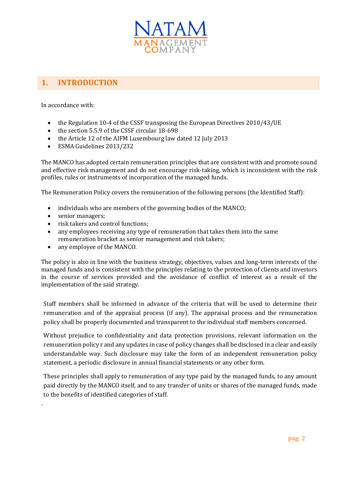

## **1. INTRODUCTION**

In accordance with:

- the Regulation 10-4 of the CSSF transposing the European Directives 2010/43/UE
- the section 5.5.9 of the CSSF circular 18-698
- the Article 12 of the AIFM Luxembourg law dated 12 July 2013
- ESMA Guidelines 2013/232

The MANCO has adopted certain remuneration principles that are consistent with and promote sound and effective risk management and do not encourage risk-taking, which is inconsistent with the risk profiles, rules or instruments of incorporation of the managed funds.

The Remuneration Policy covers the remuneration of the following persons (the Identified Staff):

- individuals who are members of the governing bodies of the MANCO;
- senior managers;

.

- risk takers and control functions;
- any employees receiving any type of remuneration that takes them into the same remuneration bracket as senior management and risk takers;
- any employee of the MANCO.

The policy is also in line with the business strategy, objectives, values and long-term interests of the managed funds and is consistent with the principles relating to the protection of clients and investors in the course of services provided and the avoidance of conflict of interest as a result of the implementation of the said strategy.

Staff members shall be informed in advance of the criteria that will be used to determine their remuneration and of the appraisal process (if any). The appraisal process and the remuneration policy shall be properly documented and transparent to the individual staff members concerned.

Without prejudice to confidentiality and data protection provisions, relevant information on the remuneration policy r and any updates in case of policy changes shall be disclosed in a clear and easily understandable way. Such disclosure may take the form of an independent remuneration policy statement, a periodic disclosure in annual financial statements or any other form.

These principles shall apply to remuneration of any type paid by the managed funds, to any amount paid directly by the MANCO itself, and to any transfer of units or shares of the managed funds, made to the benefits of identified categories of staff.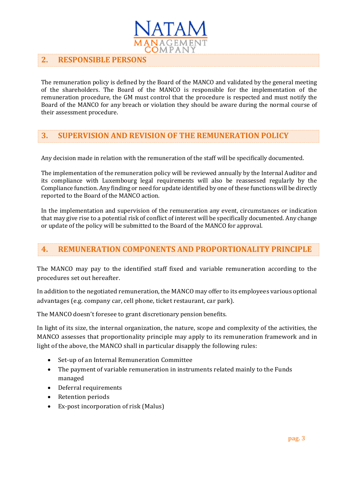

#### **2. RESPONSIBLE PERSONS**

The remuneration policy is defined by the Board of the MANCO and validated by the general meeting of the shareholders. The Board of the MANCO is responsible for the implementation of the remuneration procedure, the GM must control that the procedure is respected and must notify the Board of the MANCO for any breach or violation they should be aware during the normal course of their assessment procedure.

#### **3. SUPERVISION AND REVISION OF THE REMUNERATION POLICY**

Any decision made in relation with the remuneration of the staff will be specifically documented.

The implementation of the remuneration policy will be reviewed annually by the Internal Auditor and its compliance with Luxembourg legal requirements will also be reassessed regularly by the Compliance function. Any finding or need for update identified by one of these functions will be directly reported to the Board of the MANCO action.

In the implementation and supervision of the remuneration any event, circumstances or indication that may give rise to a potential risk of conflict of interest will be specifically documented. Any change or update of the policy will be submitted to the Board of the MANCO for approval.

#### **4. REMUNERATION COMPONENTS AND PROPORTIONALITY PRINCIPLE**

The MANCO may pay to the identified staff fixed and variable remuneration according to the procedures set out hereafter.

In addition to the negotiated remuneration, the MANCO may offer to its employees various optional advantages (e.g. company car, cell phone, ticket restaurant, car park).

The MANCO doesn't foresee to grant discretionary pension benefits.

In light of its size, the internal organization, the nature, scope and complexity of the activities, the MANCO assesses that proportionality principle may apply to its remuneration framework and in light of the above, the MANCO shall in particular disapply the following rules:

- Set-up of an Internal Remuneration Committee
- The payment of variable remuneration in instruments related mainly to the Funds managed
- Deferral requirements
- Retention periods
- Ex-post incorporation of risk (Malus)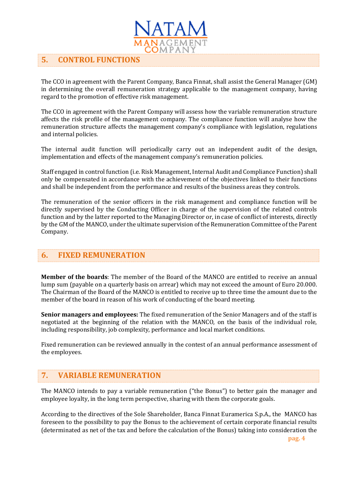

#### **5. CONTROL FUNCTIONS**

The CCO in agreement with the Parent Company, Banca Finnat, shall assist the General Manager (GM) in determining the overall remuneration strategy applicable to the management company, having regard to the promotion of effective risk management.

The CCO in agreement with the Parent Company will assess how the variable remuneration structure affects the risk profile of the management company. The compliance function will analyse how the remuneration structure affects the management company's compliance with legislation, regulations and internal policies.

The internal audit function will periodically carry out an independent audit of the design, implementation and effects of the management company's remuneration policies.

Staff engaged in control function (i.e. Risk Management, Internal Audit and Compliance Function) shall only be compensated in accordance with the achievement of the objectives linked to their functions and shall be independent from the performance and results of the business areas they controls.

The remuneration of the senior officers in the risk management and compliance function will be directly supervised by the Conducting Officer in charge of the supervision of the related controls function and by the latter reported to the Managing Director or, in case of conflict of interests, directly by the GM of the MANCO, under the ultimate supervision of the Remuneration Committee of the Parent Company.

#### **6. FIXED REMUNERATION**

**Member of the boards**: The member of the Board of the MANCO are entitled to receive an annual lump sum (payable on a quarterly basis on arrear) which may not exceed the amount of Euro 20.000. The Chairman of the Board of the MANCO is entitled to receive up to three time the amount due to the member of the board in reason of his work of conducting of the board meeting.

**Senior managers and employees:** The fixed remuneration of the Senior Managers and of the staff is negotiated at the beginning of the relation with the MANCO, on the basis of the individual role, including responsibility, job complexity, performance and local market conditions.

Fixed remuneration can be reviewed annually in the contest of an annual performance assessment of the employees.

### **7. VARIABLE REMUNERATION**

The MANCO intends to pay a variable remuneration ("the Bonus") to better gain the manager and employee loyalty, in the long term perspective, sharing with them the corporate goals.

According to the directives of the Sole Shareholder, Banca Finnat Euramerica S.p.A., the MANCO has foreseen to the possibility to pay the Bonus to the achievement of certain corporate financial results (determinated as net of the tax and before the calculation of the Bonus) taking into consideration the